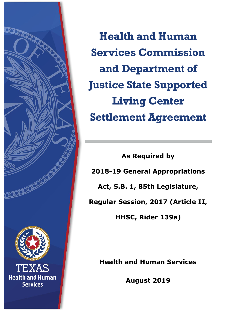

**Health and Human Services Commission and Department of Justice State Supported Living Center Settlement Agreement**

**As Required by 2018-19 General Appropriations Act, S.B. 1, 85th Legislature, Regular Session, 2017 (Article II, HHSC, Rider 139a)**

**Health and Human Services**

**August 2019**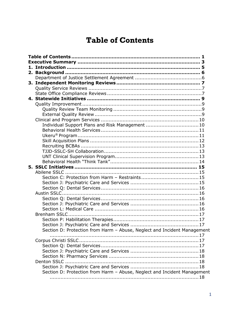# <span id="page-1-0"></span>**Table of Contents**

| Individual Support Plans and Risk Management 10                          |
|--------------------------------------------------------------------------|
|                                                                          |
|                                                                          |
|                                                                          |
|                                                                          |
|                                                                          |
|                                                                          |
|                                                                          |
|                                                                          |
|                                                                          |
|                                                                          |
|                                                                          |
|                                                                          |
|                                                                          |
|                                                                          |
|                                                                          |
|                                                                          |
|                                                                          |
|                                                                          |
|                                                                          |
| Section D: Protection from Harm - Abuse, Neglect and Incident Management |
|                                                                          |
|                                                                          |
|                                                                          |
|                                                                          |
|                                                                          |
|                                                                          |
|                                                                          |
| Section D: Protection from Harm - Abuse, Neglect and Incident Management |
|                                                                          |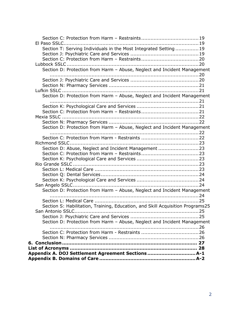| Section T: Serving Individuals in the Most Integrated Setting 19               |  |
|--------------------------------------------------------------------------------|--|
|                                                                                |  |
|                                                                                |  |
|                                                                                |  |
| Section D: Protection from Harm - Abuse, Neglect and Incident Management       |  |
|                                                                                |  |
|                                                                                |  |
|                                                                                |  |
| Section D: Protection from Harm - Abuse, Neglect and Incident Management       |  |
|                                                                                |  |
|                                                                                |  |
|                                                                                |  |
|                                                                                |  |
| Section D: Protection from Harm - Abuse, Neglect and Incident Management       |  |
|                                                                                |  |
|                                                                                |  |
| Section D: Abuse, Neglect and Incident Management 23                           |  |
|                                                                                |  |
|                                                                                |  |
|                                                                                |  |
|                                                                                |  |
|                                                                                |  |
|                                                                                |  |
| Section D: Protection from Harm - Abuse, Neglect and Incident Management       |  |
|                                                                                |  |
| Section S: Habilitation, Training, Education, and Skill Acquisition Programs25 |  |
|                                                                                |  |
|                                                                                |  |
| Section D: Protection from Harm - Abuse, Neglect and Incident Management       |  |
|                                                                                |  |
|                                                                                |  |
|                                                                                |  |
| Appendix A. DOJ Settlement Agreement Sections A-1                              |  |
|                                                                                |  |
|                                                                                |  |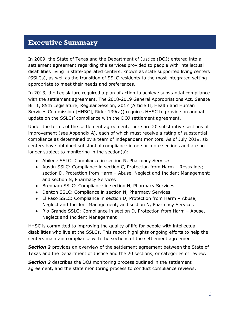### <span id="page-3-0"></span>**Executive Summary**

In 2009, the State of Texas and the Department of Justice (DOJ) entered into a settlement agreement regarding the services provided to people with intellectual disabilities living in state-operated centers, known as state supported living centers (SSLCs), as well as the transition of SSLC residents to the most integrated setting appropriate to meet their needs and preferences.

In 2013, the Legislature required a plan of action to achieve substantial compliance with the settlement agreement. The 2018-2019 General Appropriations Act, Senate Bill 1, 85th Legislature, Regular Session, 2017 (Article II, Health and Human Services Commission [HHSC], Rider 139(a)) requires HHSC to provide an annual update on the SSLCs' compliance with the DOJ settlement agreement.

Under the terms of the settlement agreement, there are 20 substantive sections of improvement (see Appendix A), each of which must receive a rating of substantial compliance as determined by a team of independent monitors. As of July 2019, six centers have obtained substantial compliance in one or more sections and are no longer subject to monitoring in the section(s):

- Abilene SSLC: Compliance in section N, Pharmacy Services
- Austin SSLC: Compliance in section C, Protection from Harm Restraints; section D, Protection from Harm – Abuse, Neglect and Incident Management; and section N, Pharmacy Services
- Brenham SSLC: Compliance in section N, Pharmacy Services
- Denton SSLC: Compliance in section N, Pharmacy Services
- El Paso SSLC: Compliance in section D, Protection from Harm Abuse, Neglect and Incident Management; and section N, Pharmacy Services
- Rio Grande SSLC: Compliance in section D, Protection from Harm Abuse, Neglect and Incident Management

HHSC is committed to improving the quality of life for people with intellectual disabilities who live at the SSLCs. This report highlights ongoing efforts to help the centers maintain compliance with the sections of the settlement agreement.

**Section 2** provides an overview of the settlement agreement between the State of Texas and the Department of Justice and the 20 sections, or categories of review.

**Section 3** describes the DOJ monitoring process outlined in the settlement agreement, and the state monitoring process to conduct compliance reviews.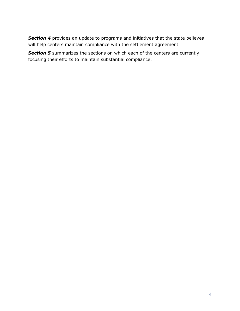**Section 4** provides an update to programs and initiatives that the state believes will help centers maintain compliance with the settlement agreement.

**Section 5** summarizes the sections on which each of the centers are currently focusing their efforts to maintain substantial compliance.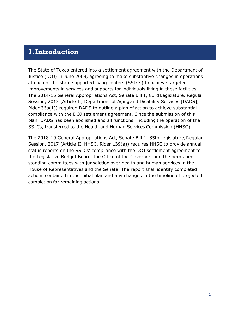### <span id="page-5-0"></span>**1.Introduction**

The State of Texas entered into a settlement agreement with the Department of Justice (DOJ) in June 2009, agreeing to make substantive changes in operations at each of the state supported living centers (SSLCs) to achieve targeted improvements in services and supports for individuals living in these facilities. The 2014-15 General Appropriations Act, Senate Bill 1, 83rd Legislature, Regular Session, 2013 (Article II, Department of Aging and Disability Services [DADS], Rider 36a(1)) required DADS to outline a plan of action to achieve substantial compliance with the DOJ settlement agreement. Since the submission of this plan, DADS has been abolished and all functions, including the operation of the SSLCs, transferred to the Health and Human Services Commission (HHSC).

The 2018-19 General Appropriations Act, Senate Bill 1, 85th Legislature, Regular Session, 2017 (Article II, HHSC, Rider 139(a)) requires HHSC to provide annual status reports on the SSLCs' compliance with the DOJ settlement agreement to the Legislative Budget Board, the Office of the Governor, and the permanent standing committees with jurisdiction over health and human services in the House of Representatives and the Senate. The report shall identify completed actions contained in the initial plan and any changes in the timeline of projected completion for remaining actions.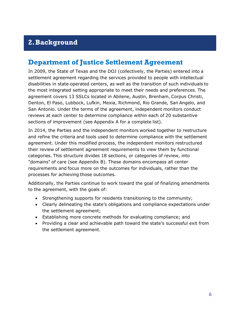## <span id="page-6-0"></span>**2.Background**

## <span id="page-6-1"></span>**Department of Justice Settlement Agreement**

In 2009, the State of Texas and the DOJ (collectively, the Parties) entered into a settlement agreement regarding the services provided to people with intellectual disabilities in state‐operated centers, as well as the transition of such individuals to the most integrated setting appropriate to meet their needs and preferences. The agreement covers 13 SSLCs located in Abilene, Austin, Brenham, Corpus Christi, Denton, El Paso, Lubbock, Lufkin, Mexia, Richmond, Rio Grande, San Angelo, and San Antonio. Under the terms of the agreement, independent monitors conduct reviews at each center to determine compliance within each of 20 substantive sections of improvement (see Appendix A for a complete list).

In 2014, the Parties and the independent monitors worked together to restructure and refine the criteria and tools used to determine compliance with the settlement agreement. Under this modified process, the independent monitors restructured their review of settlement agreement requirements to view them by functional categories. This structure divides 18 sections, or categories of review, into "domains" of care (see Appendix B). These domains encompass all center requirements and focus more on the outcomes for individuals, rather than the processes for achieving those outcomes.

Additionally, the Parties continue to work toward the goal of finalizing amendments to the agreement, with the goals of:

- Strengthening supports for residents transitioning to the community;
- Clearly delineating the state's obligations and compliance expectations under the settlement agreement;
- Establishing more concrete methods for evaluating compliance; and
- Providing a clear and achievable path toward the state's successful exit from the settlement agreement.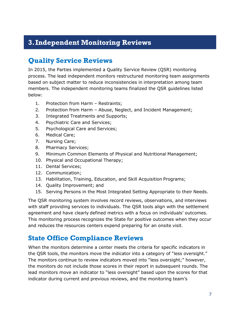## <span id="page-7-0"></span>**3.Independent Monitoring Reviews**

## <span id="page-7-1"></span>**Quality Service Reviews**

In 2015, the Parties implemented a Quality Service Review (QSR) monitoring process. The lead independent monitors restructured monitoring team assignments based on subject matter to reduce inconsistencies in interpretation among team members. The independent monitoring teams finalized the QSR guidelines listed below:

- 1. Protection from Harm Restraints;
- 2. Protection from Harm Abuse, Neglect, and Incident Management;
- 3. Integrated Treatments and Supports;
- 4. Psychiatric Care and Services;
- 5. Psychological Care and Services;
- 6. Medical Care;
- 7. Nursing Care;
- 8. Pharmacy Services;
- 9. Minimum Common Elements of Physical and Nutritional Management;
- 10. Physical and Occupational Therapy;
- 11. Dental Services;
- 12. Communication;
- 13. Habilitation, Training, Education, and Skill Acquisition Programs;
- 14. Quality Improvement; and
- 15. Serving Persons in the Most Integrated Setting Appropriate to their Needs.

The QSR monitoring system involves record reviews, observations, and interviews with staff providing services to individuals. The QSR tools align with the settlement agreement and have clearly defined metrics with a focus on individuals' outcomes. This monitoring process recognizes the State for positive outcomes when they occur and reduces the resources centers expend preparing for an onsite visit.

## <span id="page-7-2"></span>**State Office Compliance Reviews**

When the monitors determine a center meets the criteria for specific indicators in the QSR tools, the monitors move the indicator into a category of "less oversight." The monitors continue to review indicators moved into "less oversight;" however, the monitors do not include those scores in their report in subsequent rounds. The lead monitors move an indicator to "less oversight" based upon the scores for that indicator during current and previous reviews, and the monitoring team's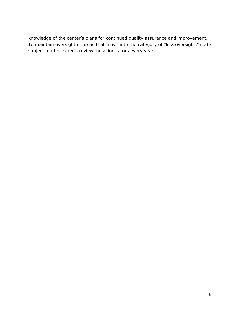knowledge of the center's plans for continued quality assurance and improvement. To maintain oversight of areas that move into the category of "less oversight," state subject matter experts review those indicators every year.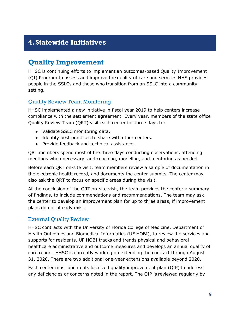## <span id="page-9-0"></span>**4.Statewide Initiatives**

## <span id="page-9-1"></span>**Quality Improvement**

HHSC is continuing efforts to implement an outcomes-based Quality Improvement (QI) Program to assess and improve the quality of care and services HHS provides people in the SSLCs and those who transition from an SSLC into a community setting.

### <span id="page-9-2"></span>Quality Review Team Monitoring

HHSC implemented a new initiative in fiscal year 2019 to help centers increase compliance with the settlement agreement. Every year, members of the state office Quality Review Team (QRT) visit each center for three days to:

- Validate SSLC monitoring data.
- Identify best practices to share with other centers.
- Provide feedback and technical assistance.

QRT members spend most of the three days conducting observations, attending meetings when necessary, and coaching, modeling, and mentoring as needed.

Before each QRT on-site visit, team members review a sample of documentation in the electronic health record, and documents the center submits. The center may also ask the QRT to focus on specific areas during the visit.

At the conclusion of the QRT on-site visit, the team provides the center a summary of findings, to include commendations and recommendations. The team may ask the center to develop an improvement plan for up to three areas, if improvement plans do not already exist.

#### <span id="page-9-3"></span>External Quality Review

HHSC contracts with the University of Florida College of Medicine, Department of Health Outcomes and Biomedical Informatics (UF HOBI), to review the services and supports for residents. UF HOBI tracks and trends physical and behavioral healthcare administrative and outcome measures and develops an annual quality of care report. HHSC is currently working on extending the contract through August 31, 2020. There are two additional one-year extensions available beyond 2020.

Each center must update its localized quality improvement plan (QIP) to address any deficiencies or concerns noted in the report. The QIP is reviewed regularly by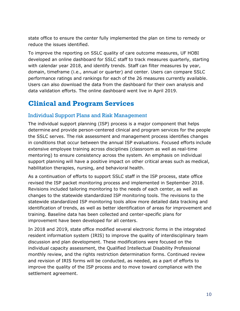state office to ensure the center fully implemented the plan on time to remedy or reduce the issues identified.

To improve the reporting on SSLC quality of care outcome measures, UF HOBI developed an online dashboard for SSLC staff to track measures quarterly, starting with calendar year 2018, and identify trends. Staff can filter measures by year, domain, timeframe (i.e., annual or quarter) and center. Users can compare SSLC performance ratings and rankings for each of the 26 measures currently available. Users can also download the data from the dashboard for their own analysis and data validation efforts. The online dashboard went live in April 2019.

## <span id="page-10-0"></span>**Clinical and Program Services**

#### <span id="page-10-1"></span>Individual Support Plans and Risk Management

The individual support planning (ISP) process is a major component that helps determine and provide person-centered clinical and program services for the people the SSLC serves. The risk assessment and management process identifies changes in conditions that occur between the annual ISP evaluations. Focused efforts include extensive employee training across disciplines (classroom as well as real-time mentoring) to ensure consistency across the system. An emphasis on individual support planning will have a positive impact on other critical areas such as medical, habilitation therapies, nursing, and behavioral health.

As a continuation of efforts to support SSLC staff in the ISP process, state office revised the ISP packet monitoring process and implemented in September 2018. Revisions included tailoring monitoring to the needs of each center, as well as changes to the statewide standardized ISP monitoring tools. The revisions to the statewide standardized ISP monitoring tools allow more detailed data tracking and identification of trends, as well as better identification of areas for improvement and training. Baseline data has been collected and center-specific plans for improvement have been developed for all centers.

In 2018 and 2019, state office modified several electronic forms in the integrated resident information system (IRIS) to improve the quality of interdisciplinary team discussion and plan development. These modifications were focused on the individual capacity assessment, the Qualified Intellectual Disability Professional monthly review, and the rights restriction determination forms. Continued review and revision of IRIS forms will be conducted, as needed, as a part of efforts to improve the quality of the ISP process and to move toward compliance with the settlement agreement.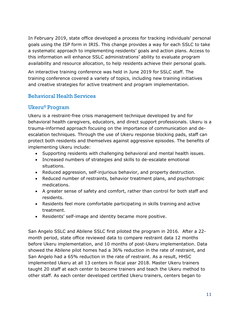In February 2019, state office developed a process for tracking individuals' personal goals using the ISP form in IRIS. This change provides a way for each SSLC to take a systematic approach to implementing residents' goals and action plans. Access to this information will enhance SSLC administrations' ability to evaluate program availability and resource allocation, to help residents achieve their personal goals.

An interactive training conference was held in June 2019 for SSLC staff. The training conference covered a variety of topics, including new training initiatives and creative strategies for active treatment and program implementation.

### <span id="page-11-0"></span>Behavioral Health Services

### <span id="page-11-1"></span>Ukeru® Program

Ukeru is a restraint-free crisis management technique developed by and for behavioral health caregivers, educators, and direct support professionals. Ukeru is a trauma-informed approach focusing on the importance of communication and deescalation techniques. Through the use of Ukeru response blocking pads, staff can protect both residents and themselves against aggressive episodes. The benefits of implementing Ukeru include:

- Supporting residents with challenging behavioral and mental health issues.
- Increased numbers of strategies and skills to de-escalate emotional situations.
- Reduced aggression, self-injurious behavior, and property destruction.
- Reduced number of restraints, behavior treatment plans, and psychotropic medications.
- A greater sense of safety and comfort, rather than control for both staff and residents.
- Residents feel more comfortable participating in skills training and active treatment.
- Residents' self-image and identity became more positive.

San Angelo SSLC and Abilene SSLC first piloted the program in 2016. After a 22 month period, state office reviewed data to compare restraint data 12 months before Ukeru implementation, and 10 months of post-Ukeru implementation. Data showed the Abilene pilot homes had a 36% reduction in the rate of restraint, and San Angelo had a 65% reduction in the rate of restraint. As a result, HHSC implemented Ukeru at all 13 centers in fiscal year 2018. Master Ukeru trainers taught 20 staff at each center to become trainers and teach the Ukeru method to other staff. As each center developed certified Ukeru trainers, centers began to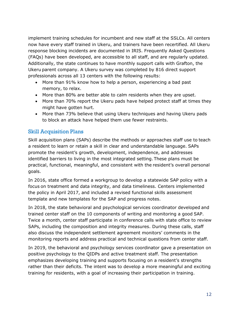implement training schedules for incumbent and new staff at the SSLCs. All centers now have every staff trained in Ukeru, and trainers have been recertified. All Ukeru response blocking incidents are documented in IRIS. Frequently Asked Questions (FAQs) have been developed, are accessible to all staff, and are regularly updated. Additionally, the state continues to have monthly support calls with Grafton, the Ukeru parent company. A Ukeru survey was completed by 816 direct support professionals across all 13 centers with the following results:

- More than 91% know how to help a person, experiencing a bad past memory, to relax.
- More than 80% are better able to calm residents when they are upset.
- More than 70% report the Ukeru pads have helped protect staff at times they might have gotten hurt.
- More than 73% believe that using Ukeru techniques and having Ukeru pads to block an attack have helped them use fewer restraints.

### <span id="page-12-0"></span>Skill Acquisition Plans

Skill acquisition plans (SAPs) describe the methods or approaches staff use to teach a resident to learn or retain a skill in clear and understandable language. SAPs promote the resident's growth, development, independence, and addresses identified barriers to living in the most integrated setting.These plans must be practical, functional, meaningful, and consistent with the resident's overall personal goals.

In 2016, state office formed a workgroup to develop a statewide SAP policy with a focus on treatment and data integrity, and data timeliness. Centers implemented the policy in April 2017, and included a revised functional skills assessment template and new templates for the SAP and progress notes.

In 2018, the state behavioral and psychological services coordinator developed and trained center staff on the 10 components of writing and monitoring a good SAP. Twice a month, center staff participate in conference calls with state office to review SAPs, including the composition and integrity measures. During these calls, staff also discuss the independent settlement agreement monitors' comments in the monitoring reports and address practical and technical questions from center staff.

In 2019, the behavioral and psychology services coordinator gave a presentation on positive psychology to the QIDPs and active treatment staff. The presentation emphasizes developing training and supports focusing on a resident's strengths rather than their deficits. The intent was to develop a more meaningful and exciting training for residents, with a goal of increasing their participation in training.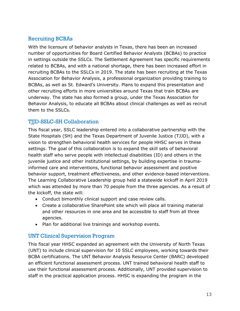### <span id="page-13-0"></span>Recruiting BCBAs

With the licensure of behavior analysts in Texas, there has been an increased number of opportunities for Board Certified Behavior Analysts (BCBAs) to practice in settings outside the SSLCs. The Settlement Agreement has specific requirements related to BCBAs, and with a national shortage, there has been increased effort in recruiting BCBAs to the SSLCs in 2019. The state has been recruiting at the Texas Association for Behavior Analysis, a professional organization providing training to BCBAs, as well as St. Edward's University. Plans to expand this presentation and other recruiting efforts in more universities around Texas that train BCBAs are underway. The state has also formed a group, under the Texas Association for Behavior Analysis, to educate all BCBAs about clinical challenges as well as recruit them to the SSLCs.

### <span id="page-13-1"></span>TJJD-SSLC-SH Collaboration

This fiscal year, SSLC leadership entered into a collaborative partnership with the State Hospitals (SH) and the Texas Department of Juvenile Justice (TJJD), with a vision to strengthen behavioral health services for people HHSC serves in these settings. The goal of this collaboration is to expand the skill sets of behavioral health staff who serve people with intellectual disabilities (ID) and others in the juvenile justice and other institutional settings, by building expertise in traumainformed care and interventions, functional behavior assessment and positive behavior support, treatment effectiveness, and other evidence-based interventions. The Learning Collaborative Leadership group held a statewide kickoff in April 2019 which was attended by more than 70 people from the three agencies. As a result of the kickoff, the state will:

- Conduct bimonthly clinical support and case review calls.
- Create a collaborative SharePoint site which will place all training material and other resources in one area and be accessible to staff from all three agencies.
- Plan for additional live trainings and workshop events.

### <span id="page-13-2"></span>UNT Clinical Supervision Program

This fiscal year HHSC expanded an agreement with the University of North Texas (UNT) to include clinical supervision for 10 SSLC employees, working towards their BCBA certifications. The UNT Behavior Analysis Resource Center (BARC) developed an efficient functional assessment process. UNT trained behavioral health staff to use their functional assessment process. Additionally, UNT provided supervision to staff in the practical application process. HHSC is expanding the program in the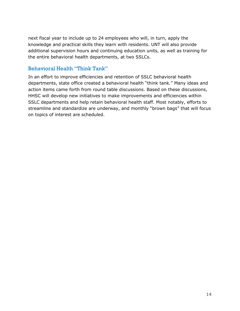next fiscal year to include up to 24 employees who will, in turn, apply the knowledge and practical skills they learn with residents. UNT will also provide additional supervision hours and continuing education units, as well as training for the entire behavioral health departments, at two SSLCs.

### <span id="page-14-0"></span>Behavioral Health "Think Tank"

In an effort to improve efficiencies and retention of SSLC behavioral health departments, state office created a behavioral health "think tank." Many ideas and action items came forth from round table discussions. Based on these discussions, HHSC will develop new initiatives to make improvements and efficiencies within SSLC departments and help retain behavioral health staff. Most notably, efforts to streamline and standardize are underway, and monthly "brown bags" that will focus on topics of interest are scheduled.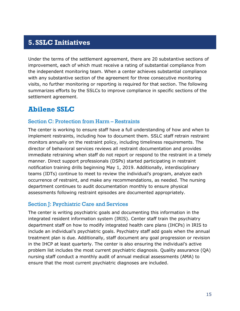## <span id="page-15-0"></span>**5.SSLC Initiatives**

Under the terms of the settlement agreement, there are 20 substantive sections of improvement, each of which must receive a rating of substantial compliance from the independent monitoring team. When a center achieves substantial compliance with any substantive section of the agreement for three consecutive monitoring visits, no further monitoring or reporting is required for that section. The following summarizes efforts by the SSLCs to improve compliance in specific sections of the settlement agreement.

### <span id="page-15-1"></span>**Abilene SSLC**

#### <span id="page-15-2"></span>Section C: Protection from Harm – Restraints

The center is working to ensure staff have a full understanding of how and when to implement restraints, including how to document them. SSLC staff retrain restraint monitors annually on the restraint policy, including timeliness requirements. The director of behavioral services reviews all restraint documentation and provides immediate retraining when staff do not report or respond to the restraint in a timely manner. Direct support professionals (DSPs) started participating in restraint notification training drills beginning May 1, 2019. Additionally, interdisciplinary teams (IDTs) continue to meet to review the individual's program, analyze each occurrence of restraint, and make any recommendations, as needed. The nursing department continues to audit documentation monthly to ensure physical assessments following restraint episodes are documented appropriately.

#### <span id="page-15-3"></span>Section J: Psychiatric Care and Services

The center is writing psychiatric goals and documenting this information in the integrated resident information system (IRIS). Center staff train the psychiatry department staff on how to modify integrated health care plans (IHCPs) in IRIS to include an individual's psychiatric goals. Psychiatry staff add goals when the annual treatment plan is due. Additionally, staff document any goal progression or revision in the IHCP at least quarterly. The center is also ensuring the individual's active problem list includes the most current psychiatric diagnosis. Quality assurance (QA) nursing staff conduct a monthly audit of annual medical assessments (AMA) to ensure that the most current psychiatric diagnoses are included.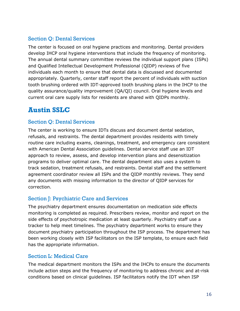### <span id="page-16-0"></span>Section Q: Dental Services

The center is focused on oral hygiene practices and monitoring. Dental providers develop IHCP oral hygiene interventions that include the frequency of monitoring. The annual dental summary committee reviews the individual support plans (ISPs) and Qualified Intellectual Development Professional (QIDP) reviews of five individuals each month to ensure that dental data is discussed and documented appropriately. Quarterly, center staff report the percent of individuals with suction tooth brushing ordered with IDT-approved tooth brushing plans in the IHCP to the quality assurance/quality improvement (QA/QI) council. Oral hygiene levels and current oral care supply lists for residents are shared with QIDPs monthly.

## <span id="page-16-1"></span>**Austin SSLC**

#### <span id="page-16-2"></span>Section Q: Dental Services

The center is working to ensure IDTs discuss and document dental sedation, refusals, and restraints. The dental department provides residents with timely routine care including exams, cleanings, treatment, and emergency care consistent with American Dental Association guidelines. Dental service staff use an IDT approach to review, assess, and develop intervention plans and desensitization programs to deliver optimal care. The dental department also uses a system to track sedation, treatment refusals, and restraints. Dental staff and the settlement agreement coordinator review all ISPs and the QIDP monthly reviews. They send any documents with missing information to the director of QIDP services for correction.

### <span id="page-16-3"></span>Section J: Psychiatric Care and Services

The psychiatry department ensures documentation on medication side effects monitoring is completed as required. Prescribers review, monitor and report on the side effects of psychotropic medication at least quarterly. Psychiatry staff use a tracker to help meet timelines. The psychiatry department works to ensure they document psychiatry participation throughout the ISP process. The department has been working closely with ISP facilitators on the ISP template, to ensure each field has the appropriate information.

### <span id="page-16-4"></span>Section L: Medical Care

The medical department monitors the ISPs and the IHCPs to ensure the documents include action steps and the frequency of monitoring to address chronic and at-risk conditions based on clinical guidelines. ISP facilitators notify the IDT when ISP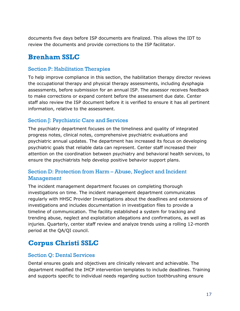documents five days before ISP documents are finalized. This allows the IDT to review the documents and provide corrections to the ISP facilitator.

## <span id="page-17-0"></span>**Brenham SSLC**

#### <span id="page-17-1"></span>Section P: Habilitation Therapies

To help improve compliance in this section, the habilitation therapy director reviews the occupational therapy and physical therapy assessments, including dysphagia assessments, before submission for an annual ISP. The assessor receives feedback to make corrections or expand content before the assessment due date. Center staff also review the ISP document before it is verified to ensure it has all pertinent information, relative to the assessment.

#### <span id="page-17-2"></span>Section J: Psychiatric Care and Services

The psychiatry department focuses on the timeliness and quality of integrated progress notes, clinical notes, comprehensive psychiatric evaluations and psychiatric annual updates. The department has increased its focus on developing psychiatric goals that reliable data can represent. Center staff increased their attention on the coordination between psychiatry and behavioral health services, to ensure the psychiatrists help develop positive behavior support plans.

#### <span id="page-17-3"></span>Section D: Protection from Harm – Abuse, Neglect and Incident Management

The incident management department focuses on completing thorough investigations on time. The incident management department communicates regularly with HHSC Provider Investigations about the deadlines and extensions of investigations and includes documentation in investigation files to provide a timeline of communication. The facility established a system for tracking and trending abuse, neglect and exploitation allegations and confirmations, as well as injuries. Quarterly, center staff review and analyze trends using a rolling 12-month period at the QA/QI council.

## <span id="page-17-4"></span>**Corpus Christi SSLC**

#### <span id="page-17-5"></span>Section Q: Dental Services

Dental ensures goals and objectives are clinically relevant and achievable. The department modified the IHCP intervention templates to include deadlines. Training and supports specific to individual needs regarding suction toothbrushing ensure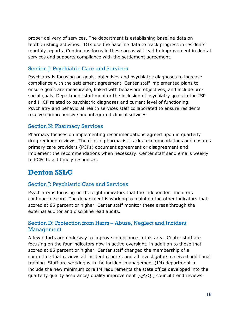proper delivery of services. The department is establishing baseline data on toothbrushing activities. IDTs use the baseline data to track progress in residents' monthly reports. Continuous focus in these areas will lead to improvement in dental services and supports compliance with the settlement agreement.

### <span id="page-18-0"></span>Section J: Psychiatric Care and Services

Psychiatry is focusing on goals, objectives and psychiatric diagnoses to increase compliance with the settlement agreement. Center staff implemented plans to ensure goals are measurable, linked with behavioral objectives, and include prosocial goals. Department staff monitor the inclusion of psychiatry goals in the ISP and IHCP related to psychiatric diagnoses and current level of functioning. Psychiatry and behavioral health services staff collaborated to ensure residents receive comprehensive and integrated clinical services.

#### <span id="page-18-1"></span>Section N: Pharmacy Services

Pharmacy focuses on implementing recommendations agreed upon in quarterly drug regimen reviews. The clinical pharmacist tracks recommendations and ensures primary care providers (PCPs) document agreement or disagreement and implement the recommendations when necessary. Center staff send emails weekly to PCPs to aid timely responses.

## <span id="page-18-2"></span>**Denton SSLC**

### <span id="page-18-3"></span>Section J: Psychiatric Care and Services

Psychiatry is focusing on the eight indicators that the independent monitors continue to score. The department is working to maintain the other indicators that scored at 85 percent or higher. Center staff monitor these areas through the external auditor and discipline lead audits.

#### <span id="page-18-4"></span>Section D: Protection from Harm – Abuse, Neglect and Incident Management

A few efforts are underway to improve compliance in this area. Center staff are focusing on the four indicators now in active oversight, in addition to those that scored at 85 percent or higher. Center staff changed the membership of a committee that reviews all incident reports, and all investigators received additional training. Staff are working with the incident management (IM) department to include the new minimum core IM requirements the state office developed into the quarterly quality assurance/ quality improvement (QA/QI) council trend reviews.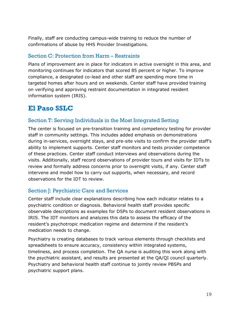Finally, staff are conducting campus-wide training to reduce the number of confirmations of abuse by HHS Provider Investigations.

#### <span id="page-19-0"></span>Section C: Protection from Harm – Restraints

Plans of improvement are in place for indicators in active oversight in this area, and monitoring continues for indicators that scored 85 percent or higher. To improve compliance, a designated co-lead and other staff are spending more time in targeted homes after hours and on weekends. Center staff have provided training on verifying and approving restraint documentation in integrated resident information system (IRIS).

## <span id="page-19-1"></span>**El Paso SSLC**

### <span id="page-19-2"></span>Section T: Serving Individuals in the Most Integrated Setting

The center is focused on pre-transition training and competency testing for provider staff in community settings. This includes added emphasis on demonstrations during in-services, overnight stays, and pre-site visits to confirm the provider staff's ability to implement supports. Center staff monitors and tests provider competence of these practices. Center staff conduct interviews and observations during the visits. Additionally, staff record observations of provider tours and visits for IDTs to review and formally address concerns prior to overnight visits, if any. Center staff intervene and model how to carry out supports, when necessary, and record observations for the IDT to review.

#### <span id="page-19-3"></span>Section J: Psychiatric Care and Services

Center staff include clear explanations describing how each indicator relates to a psychiatric condition or diagnosis. Behavioral health staff provides specific observable descriptions as examples for DSPs to document resident observations in IRIS. The IDT monitors and analyzes this data to assess the efficacy of the resident's psychotropic medication regime and determine if the resident's medication needs to change.

Psychiatry is creating databases to track various elements through checklists and spreadsheets to ensure accuracy, consistency within integrated systems, timeliness, and process completion. The QA nurse is auditing this work along with the psychiatric assistant, and results are presented at the QA/QI council quarterly. Psychiatry and behavioral health staff continue to jointly review PBSPs and psychiatric support plans.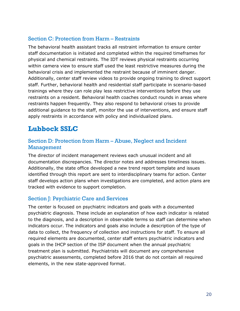#### <span id="page-20-0"></span>Section C: Protection from Harm – Restraints

The behavioral health assistant tracks all restraint information to ensure center staff documentation is initiated and completed within the required timeframes for physical and chemical restraints. The IDT reviews physical restraints occurring within camera view to ensure staff used the least restrictive measures during the behavioral crisis and implemented the restraint because of imminent danger. Additionally, center staff review videos to provide ongoing training to direct support staff. Further, behavioral health and residential staff participate in scenario-based trainings where they can role play less restrictive interventions before they use restraints on a resident. Behavioral health coaches conduct rounds in areas where restraints happen frequently. They also respond to behavioral crises to provide additional guidance to the staff, monitor the use of interventions, and ensure staff apply restraints in accordance with policy and individualized plans.

## <span id="page-20-1"></span>**Lubbock SSLC**

#### <span id="page-20-2"></span>Section D: Protection from Harm – Abuse, Neglect and Incident Management

The director of incident management reviews each unusual incident and all documentation discrepancies. The director notes and addresses timeliness issues. Additionally, the state office developed a new trend report template and issues identified through this report are sent to interdisciplinary teams for action. Center staff develops action plans when investigations are completed, and action plans are tracked with evidence to support completion.

#### <span id="page-20-3"></span>Section J: Psychiatric Care and Services

The center is focused on psychiatric indicators and goals with a documented psychiatric diagnosis. These include an explanation of how each indicator is related to the diagnosis, and a description in observable terms so staff can determine when indicators occur. The indicators and goals also include a description of the type of data to collect, the frequency of collection and instructions for staff. To ensure all required elements are documented, center staff enters psychiatric indicators and goals in the IHCP section of the ISP document when the annual psychiatric treatment plan is submitted. Psychiatrists will document any comprehensive psychiatric assessments, completed before 2016 that do not contain all required elements, in the new state-approved format.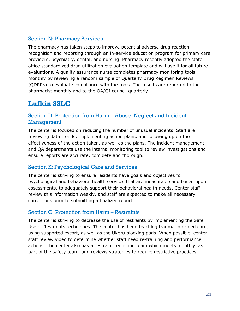#### <span id="page-21-0"></span>Section N: Pharmacy Services

The pharmacy has taken steps to improve potential adverse drug reaction recognition and reporting through an in-service education program for primary care providers, psychiatry, dental, and nursing. Pharmacy recently adopted the state office standardized drug utilization evaluation template and will use it for all future evaluations. A quality assurance nurse completes pharmacy monitoring tools monthly by reviewing a random sample of Quarterly Drug Regimen Reviews (QDRRs) to evaluate compliance with the tools. The results are reported to the pharmacist monthly and to the QA/QI council quarterly.

## <span id="page-21-1"></span>**Lufkin SSLC**

#### <span id="page-21-2"></span>Section D: Protection from Harm – Abuse, Neglect and Incident Management

The center is focused on reducing the number of unusual incidents. Staff are reviewing data trends, implementing action plans, and following up on the effectiveness of the action taken, as well as the plans. The incident management and QA departments use the internal monitoring tool to review investigations and ensure reports are accurate, complete and thorough.

#### <span id="page-21-3"></span>Section K: Psychological Care and Services

The center is striving to ensure residents have goals and objectives for psychological and behavioral health services that are measurable and based upon assessments, to adequately support their behavioral health needs. Center staff review this information weekly, and staff are expected to make all necessary corrections prior to submitting a finalized report.

#### <span id="page-21-4"></span>Section C: Protection from Harm – Restraints

The center is striving to decrease the use of restraints by implementing the Safe Use of Restraints techniques. The center has been teaching trauma-informed care, using supported escort, as well as the Ukeru blocking pads. When possible, center staff review video to determine whether staff need re-training and performance actions. The center also has a restraint reduction team which meets monthly, as part of the safety team, and reviews strategies to reduce restrictive practices.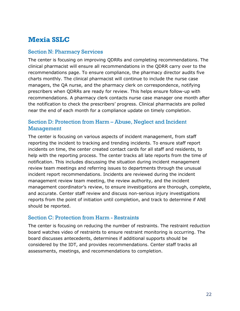## <span id="page-22-0"></span>**Mexia SSLC**

#### <span id="page-22-1"></span>Section N: Pharmacy Services

The center is focusing on improving QDRRs and completing recommendations. The clinical pharmacist will ensure all recommendations in the QDRR carry over to the recommendations page. To ensure compliance, the pharmacy director audits five charts monthly. The clinical pharmacist will continue to include the nurse case managers, the QA nurse, and the pharmacy clerk on correspondence, notifying prescribers when QDRRs are ready for review. This helps ensure follow-up with recommendations. A pharmacy clerk contacts nurse case manager one month after the notification to check the prescribers' progress. Clinical pharmacists are polled near the end of each month for a compliance update on timely completion.

### <span id="page-22-2"></span>Section D: Protection from Harm – Abuse, Neglect and Incident Management

The center is focusing on various aspects of incident management, from staff reporting the incident to tracking and trending incidents. To ensure staff report incidents on time, the center created contact cards for all staff and residents, to help with the reporting process. The center tracks all late reports from the time of notification. This includes discussing the situation during incident management review team meetings and referring issues to departments through the unusual incident report recommendations. Incidents are reviewed during the incident management review team meeting, the review authority, and the incident management coordinator's review, to ensure investigations are thorough, complete, and accurate. Center staff review and discuss non-serious injury investigations reports from the point of initiation until completion, and track to determine if ANE should be reported.

#### <span id="page-22-3"></span>Section C: Protection from Harm - Restraints

The center is focusing on reducing the number of restraints. The restraint reduction board watches video of restraints to ensure restraint monitoring is occurring. The board discusses antecedents, determines if additional supports should be considered by the IDT, and provides recommendations. Center staff tracks all assessments, meetings, and recommendations to completion.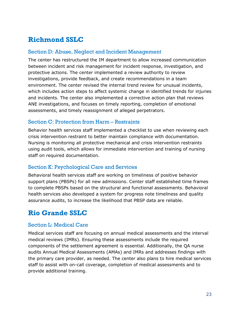## <span id="page-23-0"></span>**Richmond SSLC**

#### <span id="page-23-1"></span>Section D: Abuse, Neglect and Incident Management

The center has restructured the IM department to allow increased communication between incident and risk management for incident response, investigation, and protective actions. The center implemented a review authority to review investigations, provide feedback, and create recommendations in a team environment. The center revised the internal trend review for unusual incidents, which includes action steps to affect systemic change in identified trends for injuries and incidents. The center also implemented a corrective action plan that reviews ANE investigations, and focuses on timely reporting, completion of emotional assessments, and timely reassignment of alleged perpetrators.

#### <span id="page-23-2"></span>Section C: Protection from Harm – Restraints

Behavior health services staff implemented a checklist to use when reviewing each crisis intervention restraint to better maintain compliance with documentation. Nursing is monitoring all protective mechanical and crisis intervention restraints using audit tools, which allows for immediate intervention and training of nursing staff on required documentation.

#### <span id="page-23-3"></span>Section K: Psychological Care and Services

Behavioral health services staff are working on timeliness of positive behavior support plans (PBSPs) for all new admissions. Center staff established time frames to complete PBSPs based on the structural and functional assessments. Behavioral health services also developed a system for progress note timeliness and quality assurance audits, to increase the likelihood that PBSP data are reliable.

## <span id="page-23-4"></span>**Rio Grande SSLC**

#### <span id="page-23-5"></span>Section L: Medical Care

Medical services staff are focusing on annual medical assessments and the interval medical reviews (IMRs). Ensuring these assessments include the required components of the settlement agreement is essential. Additionally, the QA nurse audits Annual Medical Assessments (AMAs) and IMRs and addresses findings with the primary care provider, as needed. The center also plans to hire medical services staff to assist with on-call coverage, completion of medical assessments and to provide additional training.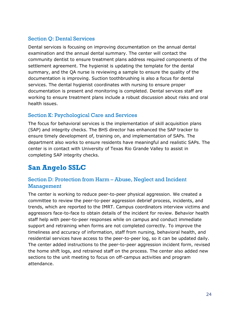### <span id="page-24-0"></span>Section Q: Dental Services

Dental services is focusing on improving documentation on the annual dental examination and the annual dental summary. The center will contact the community dentist to ensure treatment plans address required components of the settlement agreement. The hygienist is updating the template for the dental summary, and the QA nurse is reviewing a sample to ensure the quality of the documentation is improving. Suction toothbrushing is also a focus for dental services. The dental hygienist coordinates with nursing to ensure proper documentation is present and monitoring is completed. Dental services staff are working to ensure treatment plans include a robust discussion about risks and oral health issues.

### <span id="page-24-1"></span>Section K: Psychological Care and Services

The focus for behavioral services is the implementation of skill acquisition plans (SAP) and integrity checks. The BHS director has enhanced the SAP tracker to ensure timely development of, training on, and implementation of SAPs. The department also works to ensure residents have meaningful and realistic SAPs. The center is in contact with University of Texas Rio Grande Valley to assist in completing SAP integrity checks.

# <span id="page-24-2"></span>**San Angelo SSLC**

### <span id="page-24-3"></span>Section D: Protection from Harm – Abuse, Neglect and Incident Management

The center is working to reduce peer-to-peer physical aggression. We created a committee to review the peer-to-peer aggression debrief process, incidents, and trends, which are reported to the IMRT. Campus coordinators interview victims and aggressors face-to-face to obtain details of the incident for review. Behavior health staff help with peer-to-peer responses while on campus and conduct immediate support and retraining when forms are not completed correctly. To improve the timeliness and accuracy of information, staff from nursing, behavioral health, and residential services have access to the peer-to-peer log, so it can be updated daily. The center added instructions to the peer-to-peer aggression incident form, revised the home shift logs, and retrained staff on the process. The center also added new sections to the unit meeting to focus on off-campus activities and program attendance.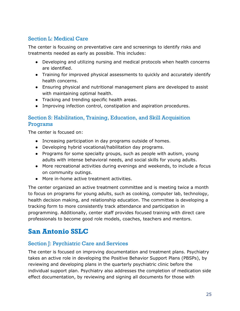### <span id="page-25-0"></span>Section L: Medical Care

The center is focusing on preventative care and screenings to identify risks and treatments needed as early as possible. This includes:

- Developing and utilizing nursing and medical protocols when health concerns are identified.
- Training for improved physical assessments to quickly and accurately identify health concerns.
- Ensuring physical and nutritional management plans are developed to assist with maintaining optimal health.
- Tracking and trending specific health areas.
- Improving infection control, constipation and aspiration procedures.

### <span id="page-25-1"></span>Section S: Habilitation, Training, Education, and Skill Acquisition Programs

The center is focused on:

- Increasing participation in day programs outside of homes.
- Developing hybrid vocational/habilitation day programs.
- Programs for some specialty groups, such as people with autism, young adults with intense behavioral needs, and social skills for young adults.
- More recreational activities during evenings and weekends, to include a focus on community outings.
- More in-home active treatment activities.

The center organized an active treatment committee and is meeting twice a month to focus on programs for young adults, such as cooking, computer lab, technology, health decision making, and relationship education. The committee is developing a tracking form to more consistently track attendance and participation in programming. Additionally, center staff provides focused training with direct care professionals to become good role models, coaches, teachers and mentors.

## <span id="page-25-2"></span>**San Antonio SSLC**

### <span id="page-25-3"></span>Section J: Psychiatric Care and Services

The center is focused on improving documentation and treatment plans. Psychiatry takes an active role in developing the Positive Behavior Support Plans (PBSPs), by reviewing and developing plans in the quarterly psychiatric clinic before the individual support plan. Psychiatry also addresses the completion of medication side effect documentation, by reviewing and signing all documents for those with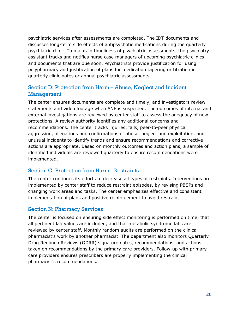psychiatric services after assessments are completed. The IDT documents and discusses long-term side effects of antipsychotic medications during the quarterly psychiatric clinic. To maintain timeliness of psychiatric assessments, the psychiatry assistant tracks and notifies nurse case managers of upcoming psychiatric clinics and documents that are due soon. Psychiatrists provide justification for using polypharmacy and justification of plans for medication tapering or titration in quarterly clinic notes or annual psychiatric assessments.

### <span id="page-26-0"></span>Section D: Protection from Harm – Abuse, Neglect and Incident Management

The center ensures documents are complete and timely, and investigators review statements and video footage when ANE is suspected. The outcomes of internal and external investigations are reviewed by center staff to assess the adequacy of new protections. A review authority identifies any additional concerns and recommendations. The center tracks injuries, falls, peer-to-peer physical aggression, allegations and confirmations of abuse, neglect and exploitation, and unusual incidents to identify trends and ensure recommendations and corrective actions are appropriate. Based on monthly outcomes and action plans, a sample of identified individuals are reviewed quarterly to ensure recommendations were implemented.

#### <span id="page-26-1"></span>Section C: Protection from Harm - Restraints

The center continues its efforts to decrease all types of restraints. Interventions are implemented by center staff to reduce restraint episodes, by revising PBSPs and changing work areas and tasks. The center emphasizes effective and consistent implementation of plans and positive reinforcement to avoid restraint.

#### <span id="page-26-2"></span>Section N: Pharmacy Services

The center is focused on ensuring side effect monitoring is performed on time, that all pertinent lab values are included, and that metabolic syndrome labs are reviewed by center staff. Monthly random audits are performed on the clinical pharmacist's work by another pharmacist. The department also monitors Quarterly Drug Regimen Reviews (QDRR) signature dates, recommendations, and actions taken on recommendations by the primary care providers. Follow-up with primary care providers ensures prescribers are properly implementing the clinical pharmacist's recommendations.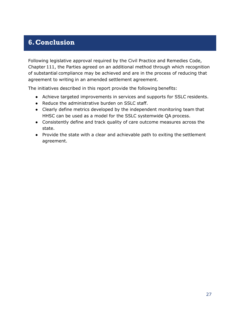## <span id="page-27-0"></span>**6.Conclusion**

Following legislative approval required by the Civil Practice and Remedies Code, Chapter 111, the Parties agreed on an additional method through which recognition of substantial compliance may be achieved and are in the process of reducing that agreement to writing in an amended settlement agreement.

The initiatives described in this report provide the following benefits:

- Achieve targeted improvements in services and supports for SSLC residents.
- Reduce the administrative burden on SSLC staff.
- Clearly define metrics developed by the independent monitoring team that HHSC can be used as a model for the SSLC systemwide QA process.
- Consistently define and track quality of care outcome measures across the state.
- Provide the state with a clear and achievable path to exiting the settlement agreement.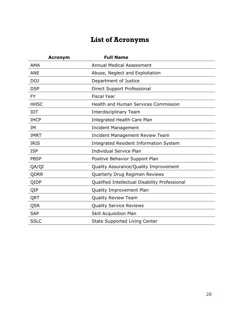# **List of Acronyms**

<span id="page-28-0"></span>

| <b>Acronym</b> | <b>Full Name</b>                               |
|----------------|------------------------------------------------|
| <b>AMA</b>     | <b>Annual Medical Assessment</b>               |
| <b>ANE</b>     | Abuse, Neglect and Exploitation                |
| DOJ            | Department of Justice                          |
| <b>DSP</b>     | Direct Support Professional                    |
| <b>FY</b>      | <b>Fiscal Year</b>                             |
| <b>HHSC</b>    | <b>Health and Human Services Commission</b>    |
| <b>IDT</b>     | Interdisciplinary Team                         |
| <b>IHCP</b>    | Integrated Health Care Plan                    |
| <b>IM</b>      | <b>Incident Management</b>                     |
| <b>IMRT</b>    | <b>Incident Management Review Team</b>         |
| <b>IRIS</b>    | <b>Integrated Resident Information System</b>  |
| <b>ISP</b>     | <b>Individual Service Plan</b>                 |
| <b>PBSP</b>    | Positive Behavior Support Plan                 |
| QA/QI          | Quality Assurance/Quality Improvement          |
| <b>QDRR</b>    | Quarterly Drug Regimen Reviews                 |
| QIDP           | Qualified Intellectual Disability Professional |
| QIP            | Quality Improvement Plan                       |
| QRT            | <b>Quality Review Team</b>                     |
| QSR            | <b>Quality Service Reviews</b>                 |
| <b>SAP</b>     | Skill Acquisition Plan                         |
| <b>SSLC</b>    | <b>State Supported Living Center</b>           |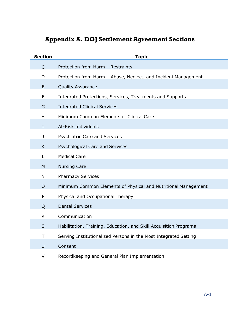# **Appendix A. DOJ Settlement Agreement Sections**

<span id="page-29-0"></span>

| <b>Section</b> | <b>Topic</b>                                                      |
|----------------|-------------------------------------------------------------------|
| $\mathsf{C}$   | Protection from Harm - Restraints                                 |
| D              | Protection from Harm - Abuse, Neglect, and Incident Management    |
| E              | <b>Quality Assurance</b>                                          |
| F              | Integrated Protections, Services, Treatments and Supports         |
| G              | <b>Integrated Clinical Services</b>                               |
| Н              | Minimum Common Elements of Clinical Care                          |
| $\mathbf I$    | At-Risk Individuals                                               |
| J              | Psychiatric Care and Services                                     |
| K              | Psychological Care and Services                                   |
| L              | <b>Medical Care</b>                                               |
| M              | <b>Nursing Care</b>                                               |
| N              | <b>Pharmacy Services</b>                                          |
| $\circ$        | Minimum Common Elements of Physical and Nutritional Management    |
| P              | Physical and Occupational Therapy                                 |
| Q              | <b>Dental Services</b>                                            |
| R              | Communication                                                     |
| S              | Habilitation, Training, Education, and Skill Acquisition Programs |
| T              | Serving Institutionalized Persons in the Most Integrated Setting  |
| U              | Consent                                                           |
| V              | Recordkeeping and General Plan Implementation                     |